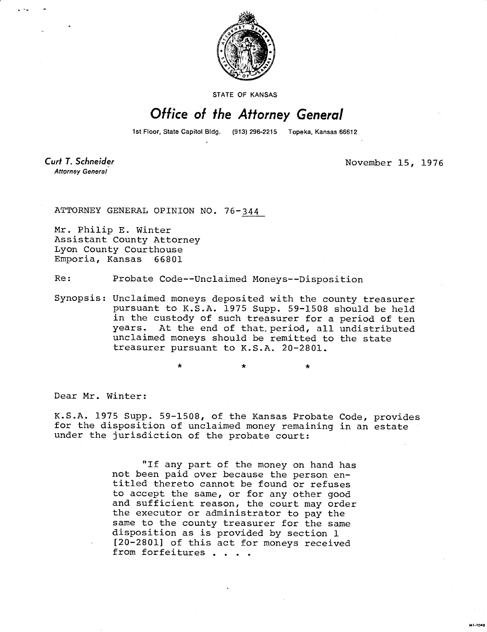

STATE OF KANSAS

## Office of the Attorney General

1st Floor, State Capitol Bldg. (913) 296-2215 Topeka, Kansas 66612

Curt T. Schneider Attorney General

November 15, 1976

**MI-1043** 

ATTORNEY GENERAL OPINION NO. 76-344

Mr. Philip E. Winter Assistant County Attorney Lyon County Courthouse Emporia, Kansas 66801

Re: Probate Code--Unclaimed Moneys--Disposition

Synopsis: Unclaimed moneys deposited with the county treasurer pursuant to K.S.A. 1975 Supp. 59-1508 should be held in the custody of such treasurer for a period of ten years. At the end of that. period, all undistributed unclaimed moneys should be remitted to the state treasurer pursuant to K.S.A. 20-2801.

Dear Mr. Winter:

K.S.A. 1975 Supp. 59-1508, of the Kansas Probate Code, provides for the disposition of unclaimed money remaining in an estate under the jurisdiction of the probate court:

> "If any part of the money on hand has not been paid over because the person entitled thereto cannot be found or refuses to accept the same, or for any other good and sufficient reason, the court may order the executor or administrator to pay the same to the county treasurer for the same disposition as is provided by section 1 [20-2801] of this act for moneys received from forfeitures . . . .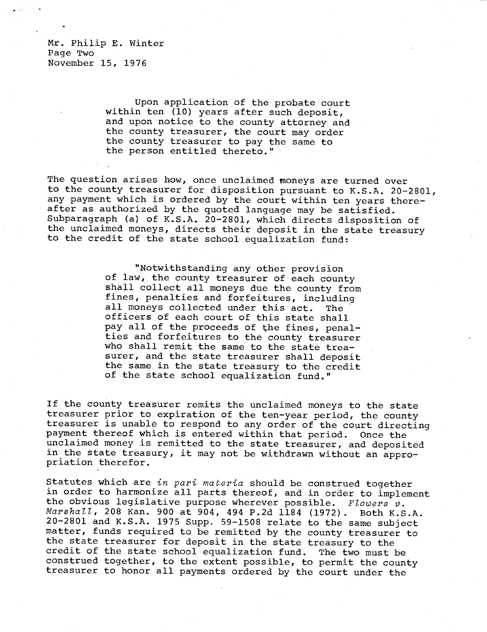Mr. Philip E. Winter Page Two November 15, 1976

> Upon application of the probate court within ten (10) years after such deposit, and upon notice to the county attorney and the county treasurer, the court may order the county treasurer to pay the same to the person entitled thereto."

The question arises how, once unclaimed moneys are turned over to the county treasurer for disposition pursuant to K.S.A. 20-2801, any payment which is ordered by the court within ten years thereafter as authorized by the quoted language may be satisfied. Subparagraph (a) of K.S.A. 20-2801, which directs disposition of the unclaimed moneys, directs their deposit in the state treasury to the credit of the state school equalization fund:

> "Notwithstanding any other provision of law, the county treasurer of each county shall collect all moneys due the county from fines, penalties and forfeitures, including all moneys collected under this act. The officers of each court of this state shall pay all of the proceeds of the fines, penalties and forfeitures to the county treasurer who shall remit the same to the state treasurer, and the state treasurer shall deposit the same in the state treasury to the credit of the state school equalization fund."

If the county treasurer remits the unclaimed moneys to the state treasurer prior to expiration of the ten-year period, the county treasurer is unable to respond to any order of the court directing payment thereof which is entered within that period. Once the unclaimed money is remitted to the state treasurer, and deposited in the state treasury, it may not be withdrawn without an appropriation therefor.

Statutes which are in pari materia should be construed together in order to harmonize all parts thereof, and in order to implement the obvious legislative purpose wherever possible. Flowers  $v$ . Marshall, 208 Kan. 900 at 904, 494 P.2d 1184 (1972). Both K.S.A. 20-2801 and K.S.A. 1975 Supp. 59-1508 relate to the same subject matter, funds required to be remitted by the county treasurer to the state treasurer for deposit in the state treasury to the credit of the state school equalization fund. The two must be construed together, to the extent possible, to permit the county treasurer to honor all payments ordered by the court under the